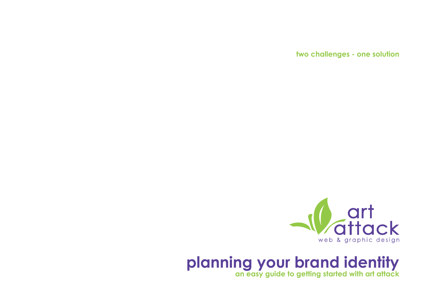**two challenges - one solution**



## **planning your brand identity**

**an easy guide to getting started with art attack**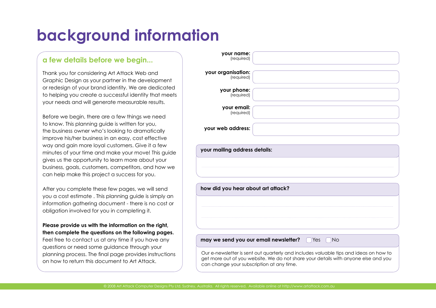# **background information**

### **a few details before we begin...**

Thank you for considering Art Attack Web and Graphic Design as your partner in the development or redesign of your brand identity. We are dedicated to helping you create a successful identity that meets your needs and will generate measurable results.

Before we begin, there are a few things we need to know. This planning guide is written for you, the business owner who's looking to dramatically improve his/her business in an easy, cost effective way and gain more loyal customers. Give it a few minutes of your time and make your move! This guide gives us the opportunity to learn more about your business, goals, customers, competitors, and how we can help make this project a success for you.

After you complete these few pages, we will send you a cost estimate . This planning guide is simply an information gathering document - there is no cost or obligation involved for you in completing it.

#### **Please provide us with the information on the right, then complete the questions on the following pages.**

Feel free to contact us at any time if you have any questions or need some guidance through your planning process. The final page provides instructions on how to return this document to Art Attack.

| your organisation:<br>(required)      |                  |
|---------------------------------------|------------------|
| your phone:<br>(required)             |                  |
| your email:<br>(required)             |                  |
| your web address:                     |                  |
|                                       |                  |
| how did you hear about art attack?    |                  |
|                                       |                  |
|                                       |                  |
| may we send you our email newsletter? | Yes<br><b>No</b> |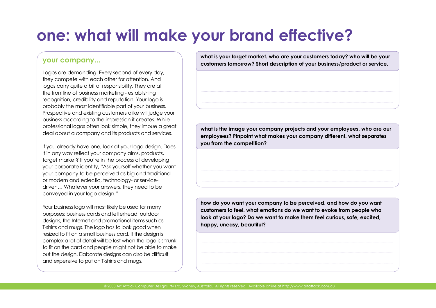# **one: what will make your brand effective?**

### **your company...**

Logos are demanding. Every second of every day, they compete with each other for attention. And logos carry quite a bit of responsibility. They are at the frontline of business marketing - establishing recognition, credibility and reputation. Your logo is probably the most identifiable part of your business. Prospective and existing customers alike will judge your business according to the impression it creates. While professional logos often look simple, they imbue a great deal about a company and its products and services.

If you already have one, look at your logo design. Does it in any way reflect your company aims, products, target market? If you're in the process of developing your corporate identity, "Ask yourself whether you want your company to be perceived as big and traditional or modern and eclectic, technology- or servicedriven… Whatever your answers, they need to be conveyed in your logo design."

Your business logo will most likely be used for many purposes: business cards and letterhead, outdoor designs, the Internet and promotional items such as T-shirts and mugs. The logo has to look good when resized to fit on a small business card. If the design is complex a lot of detail will be lost when the logo is shrunk to fit on the card and people might not be able to make out the design. Elaborate designs can also be difficult and expensive to put on T-shirts and mugs.

**what is your target market. who are your customers today? who will be your customers tomorrow? Short description of your business/product or service.**

**what is the image your company projects and your employees. who are our employees? Pinpoint what makes your company different. what separates you from the competition?** 

**how do you want your company to be perceived, and how do you want customers to feel. what emotions do we want to evoke from people who look at your logo? Do we want to make them feel curious, safe, excited, happy, uneasy, beautiful?**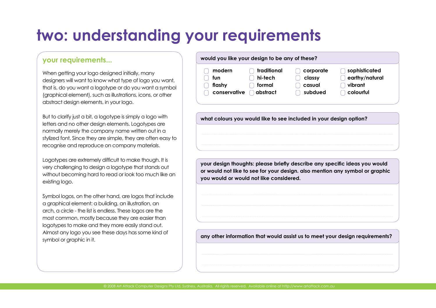# **two: understanding your requirements**

### **your requirements...**

When getting your logo designed initially, many designers will want to know what type of logo you want, that is, do you want a logotype or do you want a symbol (graphical element), such as illustrations, icons, or other abstract design elements, in your logo.

But to clarify just a bit, a logotype is simply a logo with letters and no other design elements. Logotypes are normally merely the company name written out in a stylized font. Since they are simple, they are often easy to recognise and reproduce on company materials.

Logotypes are extremely difficult to make though. It is very challenging to design a logotype that stands out without becoming hard to read or look too much like an existing logo.

Symbol logos, on the other hand, are logos that include a graphical element: a building, an illustration, an arch, a circle - the list is endless. These logos are the most common, mostly because they are easier than logotypes to make and they more easily stand out. Almost any logo you see these days has some kind of symbol or graphic in it.

| would you like your design to be any of these? |             |           |                |
|------------------------------------------------|-------------|-----------|----------------|
| modern                                         | traditional | corporate | sophisticated  |
| fun                                            | hi-tech     | classy    | earthy/natural |
| flashy                                         | formal      | casual    | vibrant        |
| conservative                                   | abstract    | subdued   | colourful      |

**what colours you would like to see included in your design option?**

**your design thoughts: please briefly describe any specific ideas you would or would not like to see for your design. also mention any symbol or graphic you would or would not like considered.**

**any other information that would assist us to meet your design requirements?**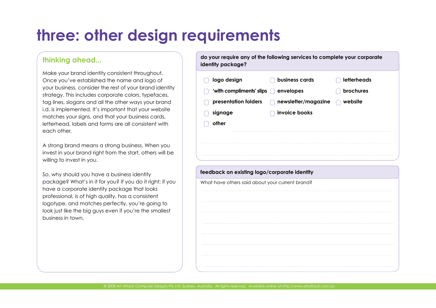# **three: other design requirements**

### **thinking ahead...**

Make your brand identity consistent throughout. Once you've established the name and logo of your business, consider the rest of your brand identity strategy. This includes corporate colors, typefaces, tag lines, slogans and all the other ways your brand i.d. is implemented. It's important that your website matches your signs, and that your business cards, letterhead, labels and forms are all consistent with each other.

A strong brand means a strong business. When you invest in your brand right from the start, others will be willing to invest in you.

So, why should you have a business identity package? What's in it for you? If you do it right; if you have a corporate identity package that looks professional, is of high quality, has a consistent logotype, and matches perfectly, you're going to look just like the big guys even if you're the smallest business in town.

| logo design                                                                                     | business cards      | letterheads |
|-------------------------------------------------------------------------------------------------|---------------------|-------------|
| 'with compliments' slips                                                                        | envelopes           | brochures   |
| presentation folders                                                                            | newsletter/magazine | website     |
| signage                                                                                         | invoice books       |             |
| other                                                                                           |                     |             |
|                                                                                                 |                     |             |
|                                                                                                 |                     |             |
|                                                                                                 |                     |             |
|                                                                                                 |                     |             |
|                                                                                                 |                     |             |
|                                                                                                 |                     |             |
|                                                                                                 |                     |             |
| feedback on existing logo/corporate identity<br>What have others said about your current brand? |                     |             |
|                                                                                                 |                     |             |
|                                                                                                 |                     |             |
|                                                                                                 |                     |             |
|                                                                                                 |                     |             |
|                                                                                                 |                     |             |
|                                                                                                 |                     |             |